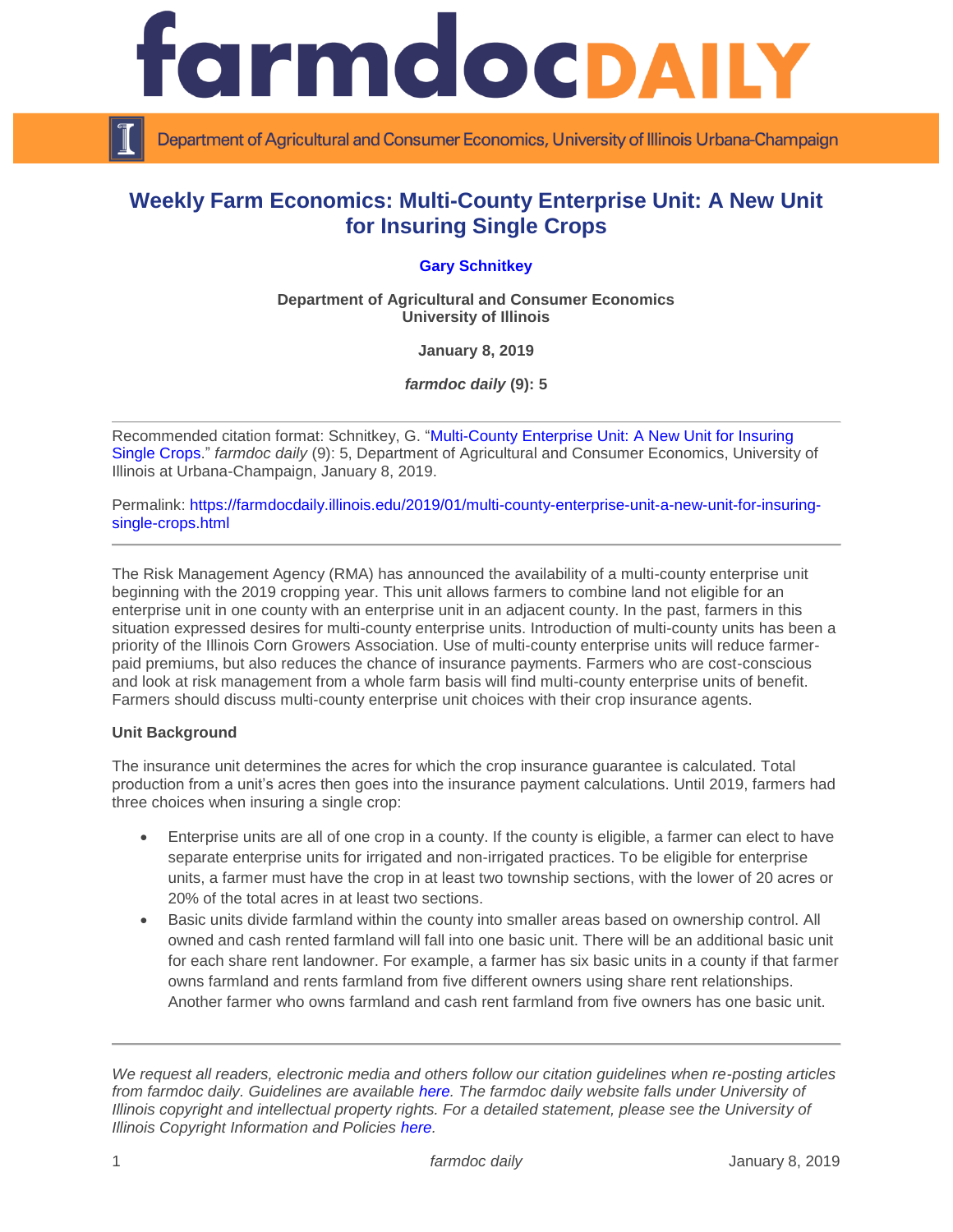

Department of Agricultural and Consumer Economics, University of Illinois Urbana-Champaign

# **Weekly Farm Economics: Multi-County Enterprise Unit: A New Unit for Insuring Single Crops**

## **[Gary Schnitkey](http://farmdoc.illinois.edu/schnitkey)**

**Department of Agricultural and Consumer Economics University of Illinois**

**January 8, 2019**

*farmdoc daily* **(9): 5**

Recommended citation format: Schnitkey, G. ["Multi-County Enterprise Unit: A New Unit for Insuring](https://farmdocdaily.illinois.edu/2019/01/multi-county-enterprise-unit-a-new-unit-for-insuring-single-crops.html)  [Single Crops."](https://farmdocdaily.illinois.edu/2019/01/multi-county-enterprise-unit-a-new-unit-for-insuring-single-crops.html) *farmdoc daily* (9): 5, Department of Agricultural and Consumer Economics, University of Illinois at Urbana-Champaign, January 8, 2019.

Permalink: [https://farmdocdaily.illinois.edu/2019/01/multi-county-enterprise-unit-a-new-unit-for-insuring](https://farmdocdaily.illinois.edu/2019/01/multi-county-enterprise-unit-a-new-unit-for-insuring-single-crops.html)[single-crops.html](https://farmdocdaily.illinois.edu/2019/01/multi-county-enterprise-unit-a-new-unit-for-insuring-single-crops.html)

The Risk Management Agency (RMA) has announced the availability of a multi-county enterprise unit beginning with the 2019 cropping year. This unit allows farmers to combine land not eligible for an enterprise unit in one county with an enterprise unit in an adjacent county. In the past, farmers in this situation expressed desires for multi-county enterprise units. Introduction of multi-county units has been a priority of the Illinois Corn Growers Association. Use of multi-county enterprise units will reduce farmerpaid premiums, but also reduces the chance of insurance payments. Farmers who are cost-conscious and look at risk management from a whole farm basis will find multi-county enterprise units of benefit. Farmers should discuss multi-county enterprise unit choices with their crop insurance agents.

### **Unit Background**

The insurance unit determines the acres for which the crop insurance guarantee is calculated. Total production from a unit's acres then goes into the insurance payment calculations. Until 2019, farmers had three choices when insuring a single crop:

- Enterprise units are all of one crop in a county. If the county is eligible, a farmer can elect to have separate enterprise units for irrigated and non-irrigated practices. To be eligible for enterprise units, a farmer must have the crop in at least two township sections, with the lower of 20 acres or 20% of the total acres in at least two sections.
- Basic units divide farmland within the county into smaller areas based on ownership control. All owned and cash rented farmland will fall into one basic unit. There will be an additional basic unit for each share rent landowner. For example, a farmer has six basic units in a county if that farmer owns farmland and rents farmland from five different owners using share rent relationships. Another farmer who owns farmland and cash rent farmland from five owners has one basic unit.

*We request all readers, electronic media and others follow our citation guidelines when re-posting articles from farmdoc daily. Guidelines are available [here.](http://farmdocdaily.illinois.edu/citationguide.html) The farmdoc daily website falls under University of Illinois copyright and intellectual property rights. For a detailed statement, please see the University of Illinois Copyright Information and Policies [here.](http://www.cio.illinois.edu/policies/copyright/)*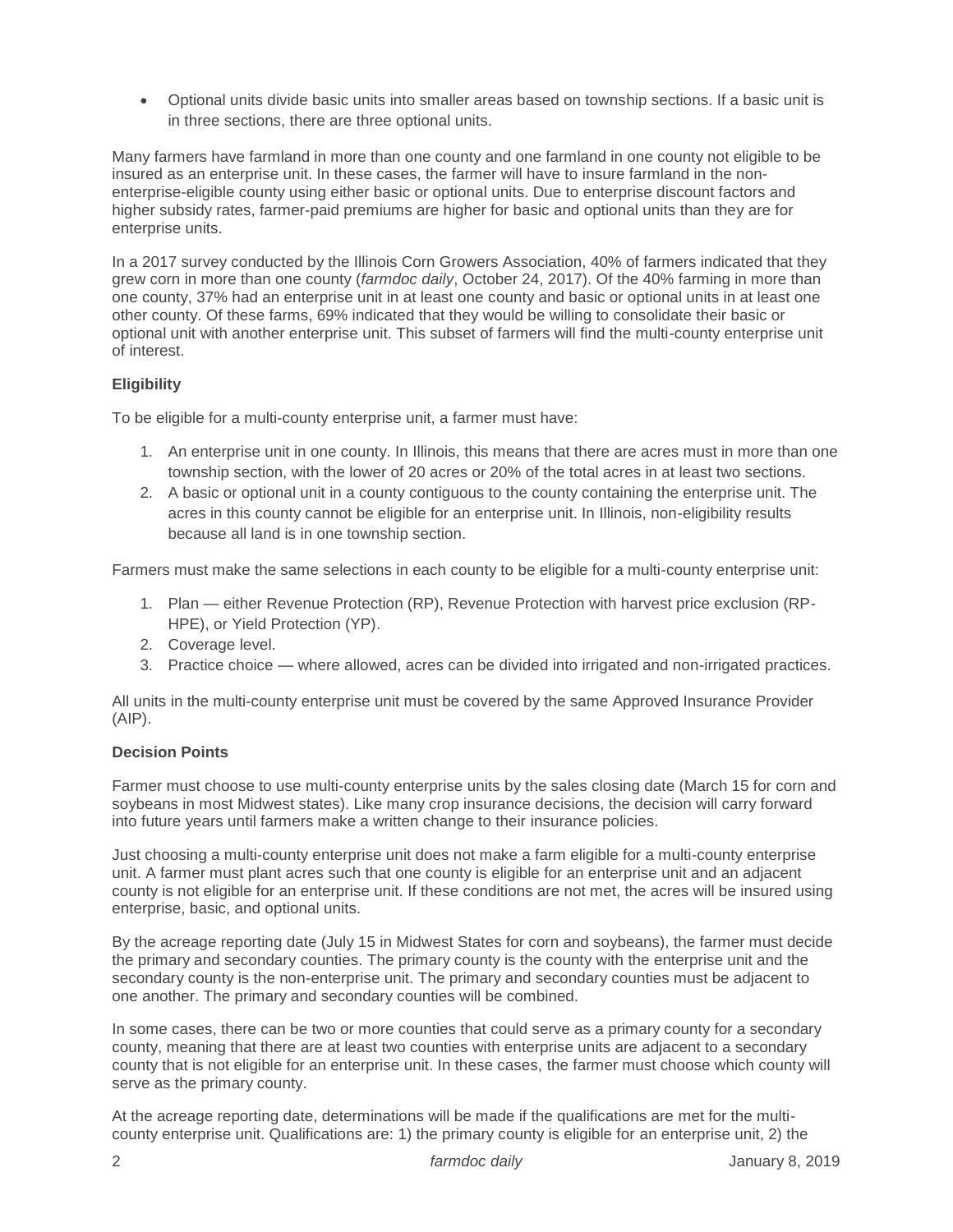Optional units divide basic units into smaller areas based on township sections. If a basic unit is in three sections, there are three optional units.

Many farmers have farmland in more than one county and one farmland in one county not eligible to be insured as an enterprise unit. In these cases, the farmer will have to insure farmland in the nonenterprise-eligible county using either basic or optional units. Due to enterprise discount factors and higher subsidy rates, farmer-paid premiums are higher for basic and optional units than they are for enterprise units.

In a 2017 survey conducted by the Illinois Corn Growers Association, 40% of farmers indicated that they grew corn in more than one county (*farmdoc daily*, October 24, 2017). Of the 40% farming in more than one county, 37% had an enterprise unit in at least one county and basic or optional units in at least one other county. Of these farms, 69% indicated that they would be willing to consolidate their basic or optional unit with another enterprise unit. This subset of farmers will find the multi-county enterprise unit of interest.

# **Eligibility**

To be eligible for a multi-county enterprise unit, a farmer must have:

- 1. An enterprise unit in one county. In Illinois, this means that there are acres must in more than one township section, with the lower of 20 acres or 20% of the total acres in at least two sections.
- 2. A basic or optional unit in a county contiguous to the county containing the enterprise unit. The acres in this county cannot be eligible for an enterprise unit. In Illinois, non-eligibility results because all land is in one township section.

Farmers must make the same selections in each county to be eligible for a multi-county enterprise unit:

- 1. Plan either Revenue Protection (RP), Revenue Protection with harvest price exclusion (RP-HPE), or Yield Protection (YP).
- 2. Coverage level.
- 3. Practice choice where allowed, acres can be divided into irrigated and non-irrigated practices.

All units in the multi-county enterprise unit must be covered by the same Approved Insurance Provider (AIP).

## **Decision Points**

Farmer must choose to use multi-county enterprise units by the sales closing date (March 15 for corn and soybeans in most Midwest states). Like many crop insurance decisions, the decision will carry forward into future years until farmers make a written change to their insurance policies.

Just choosing a multi-county enterprise unit does not make a farm eligible for a multi-county enterprise unit. A farmer must plant acres such that one county is eligible for an enterprise unit and an adjacent county is not eligible for an enterprise unit. If these conditions are not met, the acres will be insured using enterprise, basic, and optional units.

By the acreage reporting date (July 15 in Midwest States for corn and soybeans), the farmer must decide the primary and secondary counties. The primary county is the county with the enterprise unit and the secondary county is the non-enterprise unit. The primary and secondary counties must be adjacent to one another. The primary and secondary counties will be combined.

In some cases, there can be two or more counties that could serve as a primary county for a secondary county, meaning that there are at least two counties with enterprise units are adjacent to a secondary county that is not eligible for an enterprise unit. In these cases, the farmer must choose which county will serve as the primary county.

At the acreage reporting date, determinations will be made if the qualifications are met for the multicounty enterprise unit. Qualifications are: 1) the primary county is eligible for an enterprise unit, 2) the